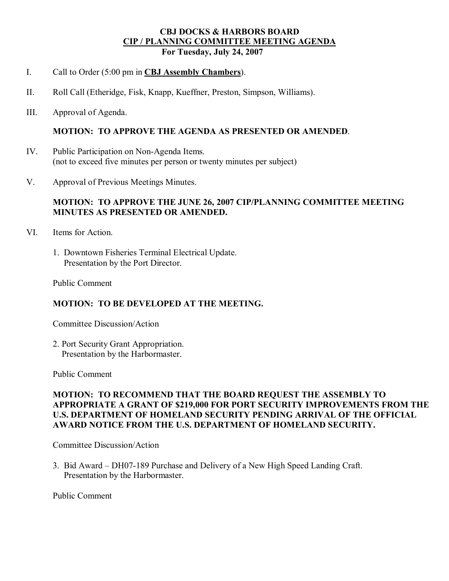### **CBJ DOCKS & HARBORS BOARD CIP / PLANNING COMMITTEE MEETING AGENDA For Tuesday, July 24, 2007**

- I. Call to Order (5:00 pm in **CBJ Assembly Chambers**).
- II. Roll Call (Etheridge, Fisk, Knapp, Kueffner, Preston, Simpson, Williams).
- III. Approval of Agenda.

#### **MOTION: TO APPROVE THE AGENDA AS PRESENTED OR AMENDED**.

- IV. Public Participation on Non-Agenda Items. (not to exceed five minutes per person or twenty minutes per subject)
- V. Approval of Previous Meetings Minutes.

### **MOTION: TO APPROVE THE JUNE 26, 2007 CIP/PLANNING COMMITTEE MEETING MINUTES AS PRESENTED OR AMENDED.**

- VI. Items for Action.
	- 1. Downtown Fisheries Terminal Electrical Update. Presentation by the Port Director.

Public Comment

#### **MOTION: TO BE DEVELOPED AT THE MEETING.**

Committee Discussion/Action

2. Port Security Grant Appropriation. Presentation by the Harbormaster.

Public Comment

### **MOTION: TO RECOMMEND THAT THE BOARD REQUEST THE ASSEMBLY TO APPROPRIATE A GRANT OF \$219,000 FOR PORT SECURITY IMPROVEMENTS FROM THE U.S. DEPARTMENT OF HOMELAND SECURITY PENDING ARRIVAL OF THE OFFICIAL AWARD NOTICE FROM THE U.S. DEPARTMENT OF HOMELAND SECURITY.**

Committee Discussion/Action

3. Bid Award – DH07-189 Purchase and Delivery of a New High Speed Landing Craft. Presentation by the Harbormaster.

Public Comment